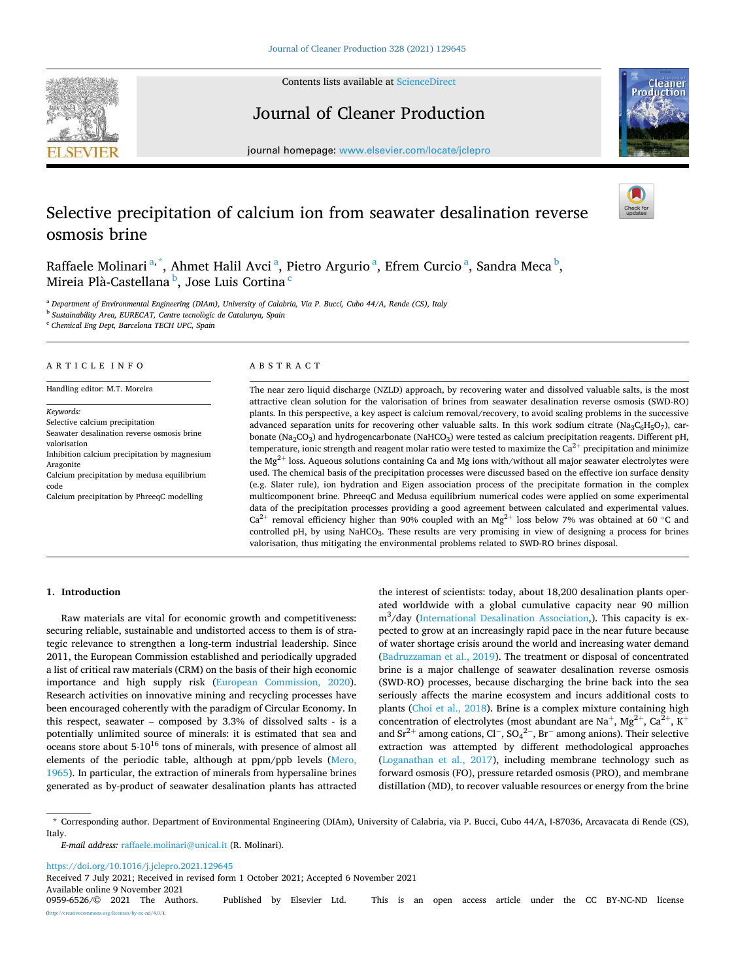

Contents lists available at [ScienceDirect](www.sciencedirect.com/science/journal/09596526)

# Journal of Cleaner Production



journal homepage: [www.elsevier.com/locate/jclepro](https://www.elsevier.com/locate/jclepro)

# Selective precipitation of calcium ion from seawater desalination reverse osmosis brine

Raffaele Molinari<sup>a,\*</sup>, Ahmet Halil Avci<sup>a</sup>, Pietro Argurio<sup>a</sup>, Efrem Curcio<sup>a</sup>, Sandra Meca<sup>b</sup>, Mireia Plà-Castellana <sup>b</sup>, Jose Luis Cortina <sup>c</sup>

<sup>a</sup> *Department of Environmental Engineering (DIAm), University of Calabria, Via P. Bucci, Cubo 44/A, Rende (CS), Italy* 

<sup>b</sup> Sustainability Area, EURECAT, Centre tecnològic de Catalunya, Spain

<sup>c</sup> *Chemical Eng Dept, Barcelona TECH UPC, Spain* 

## ARTICLE INFO

Handling editor: M.T. Moreira

*Keywords:*  Selective calcium precipitation Seawater desalination reverse osmosis brine valorisation Inhibition calcium precipitation by magnesium Aragonite Calcium precipitation by medusa equilibrium code Calcium precipitation by PhreeqC modelling

# ABSTRACT

The near zero liquid discharge (NZLD) approach, by recovering water and dissolved valuable salts, is the most attractive clean solution for the valorisation of brines from seawater desalination reverse osmosis (SWD-RO) plants. In this perspective, a key aspect is calcium removal/recovery, to avoid scaling problems in the successive advanced separation units for recovering other valuable salts. In this work sodium citrate (Na3C<sub>6</sub>H<sub>5</sub>O7), carbonate (Na<sub>2</sub>CO<sub>3</sub>) and hydrogencarbonate (NaHCO<sub>3</sub>) were tested as calcium precipitation reagents. Different pH, temperature, ionic strength and reagent molar ratio were tested to maximize the  $Ca^{2+}$  precipitation and minimize the  $Mg^{2+}$  loss. Aqueous solutions containing Ca and Mg ions with/without all major seawater electrolytes were used. The chemical basis of the precipitation processes were discussed based on the effective ion surface density (e.g. Slater rule), ion hydration and Eigen association process of the precipitate formation in the complex multicomponent brine. PhreeqC and Medusa equilibrium numerical codes were applied on some experimental data of the precipitation processes providing a good agreement between calculated and experimental values.  $Ca^{2+}$  removal efficiency higher than 90% coupled with an Mg<sup>2+</sup> loss below 7% was obtained at 60 °C and controlled pH, by using NaHCO3. These results are very promising in view of designing a process for brines valorisation, thus mitigating the environmental problems related to SWD-RO brines disposal.

## **1. Introduction**

Raw materials are vital for economic growth and competitiveness: securing reliable, sustainable and undistorted access to them is of strategic relevance to strengthen a long-term industrial leadership. Since 2011, the European Commission established and periodically upgraded a list of critical raw materials (CRM) on the basis of their high economic importance and high supply risk [\(European Commission, 2020](#page-9-0)). Research activities on innovative mining and recycling processes have been encouraged coherently with the paradigm of Circular Economy. In this respect, seawater – composed by 3.3% of dissolved salts - is a potentially unlimited source of minerals: it is estimated that sea and oceans store about  $5·10^{16}$  tons of minerals, with presence of almost all elements of the periodic table, although at ppm/ppb levels [\(Mero,](#page-9-0)  [1965\)](#page-9-0). In particular, the extraction of minerals from hypersaline brines generated as by-product of seawater desalination plants has attracted

the interest of scientists: today, about 18,200 desalination plants operated worldwide with a global cumulative capacity near 90 million m<sup>3</sup> /day ([International Desalination Association,](#page-9-0)). This capacity is expected to grow at an increasingly rapid pace in the near future because of water shortage crisis around the world and increasing water demand ([Badruzzaman et al., 2019\)](#page-9-0). The treatment or disposal of concentrated brine is a major challenge of seawater desalination reverse osmosis (SWD-RO) processes, because discharging the brine back into the sea seriously affects the marine ecosystem and incurs additional costs to plants ([Choi et al., 2018\)](#page-9-0). Brine is a complex mixture containing high concentration of electrolytes (most abundant are Na<sup>+</sup>, Mg<sup>2+</sup>, Ca<sup>2+</sup>, K<sup>+</sup> and  $Sr^{2+}$  among cations, Cl<sup>-</sup>, SO<sub>4</sub><sup>2-</sup>, Br<sup>-</sup> among anions). Their selective extraction was attempted by different methodological approaches ([Loganathan et al., 2017\)](#page-9-0), including membrane technology such as forward osmosis (FO), pressure retarded osmosis (PRO), and membrane distillation (MD), to recover valuable resources or energy from the brine

\* Corresponding author. Department of Environmental Engineering (DIAm), University of Calabria, via P. Bucci, Cubo 44/A, I-87036, Arcavacata di Rende (CS), Italy.

<https://doi.org/10.1016/j.jclepro.2021.129645>

Received 7 July 2021; Received in revised form 1 October 2021; Accepted 6 November 2021

Available online 9 November 2021<br>0959-6526/© 2021 The Authors.

Published by Elsevier Ltd. This is an open access article under the CC BY-NC-ND license  $\frac{\text{uses}}{\text{by-nc-nd}/4.0}$ .

*E-mail address:* [raffaele.molinari@unical.it](mailto:raffaele.molinari@unical.it) (R. Molinari).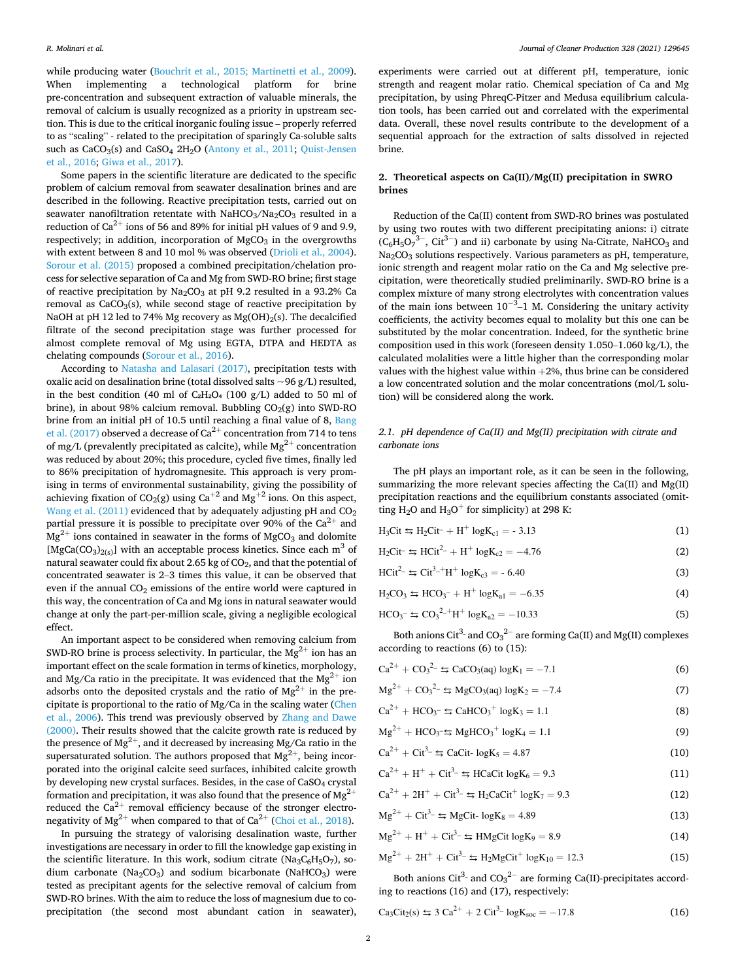<span id="page-1-0"></span>while producing water [\(Bouchrit et al., 2015; Martinetti et al., 2009](#page-9-0)). When implementing a technological platform for brine pre-concentration and subsequent extraction of valuable minerals, the removal of calcium is usually recognized as a priority in upstream section. This is due to the critical inorganic fouling issue – properly referred to as "scaling" - related to the precipitation of sparingly Ca-soluble salts such as CaCO<sub>3</sub>(s) and CaSO<sub>4</sub> 2H<sub>2</sub>O ([Antony et al., 2011](#page-9-0); Quist-Jensen [et al., 2016; Giwa et al., 2017](#page-9-0)).

Some papers in the scientific literature are dedicated to the specific problem of calcium removal from seawater desalination brines and are described in the following. Reactive precipitation tests, carried out on seawater nanofiltration retentate with  $NaHCO<sub>3</sub>/Na<sub>2</sub>CO<sub>3</sub>$  resulted in a reduction of  $\rm Ca^{2+}$  ions of 56 and 89% for initial pH values of 9 and 9.9, respectively; in addition, incorporation of  $MgCO<sub>3</sub>$  in the overgrowths with extent between 8 and 10 mol % was observed [\(Drioli et al., 2004](#page-9-0)). [Sorour et al. \(2015\)](#page-9-0) proposed a combined precipitation/chelation process for selective separation of Ca and Mg from SWD-RO brine; first stage of reactive precipitation by  $Na<sub>2</sub>CO<sub>3</sub>$  at pH 9.2 resulted in a 93.2% Ca removal as  $CaCO<sub>3</sub>(s)$ , while second stage of reactive precipitation by NaOH at pH 12 led to 74% Mg recovery as  $Mg(OH)<sub>2</sub>(s)$ . The decalcified filtrate of the second precipitation stage was further processed for almost complete removal of Mg using EGTA, DTPA and HEDTA as chelating compounds [\(Sorour et al., 2016](#page-9-0)).

According to [Natasha and Lalasari \(2017\),](#page-9-0) precipitation tests with oxalic acid on desalination brine (total dissolved salts  $\sim$ 96 g/L) resulted, in the best condition (40 ml of  $C_2H_2O_4$  (100 g/L) added to 50 ml of brine), in about 98% calcium removal. Bubbling  $CO<sub>2</sub>(g)$  into SWD-RO brine from an initial pH of 10.5 until reaching a final value of 8, [Bang](#page-9-0)  [et al. \(2017\)](#page-9-0) observed a decrease of  $Ca^{2+}$  concentration from 714 to tens of mg/L (prevalently precipitated as calcite), while  $Mg^{2+}$  concentration was reduced by about 20%; this procedure, cycled five times, finally led to 86% precipitation of hydromagnesite. This approach is very promising in terms of environmental sustainability, giving the possibility of achieving fixation of CO<sub>2</sub>(g) using Ca<sup>+2</sup> and Mg<sup>+2</sup> ions. On this aspect, [Wang et al. \(2011\)](#page-9-0) evidenced that by adequately adjusting pH and CO<sub>2</sub> partial pressure it is possible to precipitate over 90% of the  $Ca^{2+}$  and  $Mg^{2+}$  ions contained in seawater in the forms of MgCO<sub>3</sub> and dolomite [MgCa(CO<sub>3</sub>)<sub>2(s)</sub>] with an acceptable process kinetics. Since each m<sup>3</sup> of natural seawater could fix about 2.65 kg of  $CO<sub>2</sub>$ , and that the potential of concentrated seawater is 2–3 times this value, it can be observed that even if the annual  $CO<sub>2</sub>$  emissions of the entire world were captured in this way, the concentration of Ca and Mg ions in natural seawater would change at only the part-per-million scale, giving a negligible ecological effect.

An important aspect to be considered when removing calcium from SWD-RO brine is process selectivity. In particular, the  $Mg^{2+}$  ion has an important effect on the scale formation in terms of kinetics, morphology, and Mg/Ca ratio in the precipitate. It was evidenced that the  $Mg^{2+}$  ion adsorbs onto the deposited crystals and the ratio of  $Mg^{2+}$  in the precipitate is proportional to the ratio of Mg/Ca in the scaling water ([Chen](#page-9-0)  [et al., 2006\)](#page-9-0). This trend was previously observed by [Zhang and Dawe](#page-9-0)  [\(2000\).](#page-9-0) Their results showed that the calcite growth rate is reduced by the presence of  $\mathrm{Mg^{2+}}$  , and it decreased by increasing Mg/Ca ratio in the supersaturated solution. The authors proposed that  $Mg^{2+}$ , being incorporated into the original calcite seed surfaces, inhibited calcite growth by developing new crystal surfaces. Besides, in the case of CaSO4 crystal formation and precipitation, it was also found that the presence of  $Mg^{2+}$ reduced the  $Ca^{2+}$  removal efficiency because of the stronger electronegativity of  $Mg^{2+}$  when compared to that of Ca<sup>2+</sup> ([Choi et al., 2018\)](#page-9-0).

In pursuing the strategy of valorising desalination waste, further investigations are necessary in order to fill the knowledge gap existing in the scientific literature. In this work, sodium citrate ( $\text{Na}_3\text{C}_6\text{H}_5\text{O}_7$ ), sodium carbonate (Na<sub>2</sub>CO<sub>3</sub>) and sodium bicarbonate (NaHCO<sub>3</sub>) were tested as precipitant agents for the selective removal of calcium from SWD-RO brines. With the aim to reduce the loss of magnesium due to coprecipitation (the second most abundant cation in seawater),

experiments were carried out at different pH, temperature, ionic strength and reagent molar ratio. Chemical speciation of Ca and Mg precipitation, by using PhreqC-Pitzer and Medusa equilibrium calculation tools, has been carried out and correlated with the experimental data. Overall, these novel results contribute to the development of a sequential approach for the extraction of salts dissolved in rejected brine.

# **2. Theoretical aspects on Ca(II)/Mg(II) precipitation in SWRO brines**

Reduction of the Ca(II) content from SWD-RO brines was postulated by using two routes with two different precipitating anions: i) citrate  $(C_6H_5O_7^{3-}$ , Cit<sup>3-</sup>) and ii) carbonate by using Na-Citrate, NaHCO<sub>3</sub> and  $Na<sub>2</sub>CO<sub>3</sub>$  solutions respectively. Various parameters as pH, temperature, ionic strength and reagent molar ratio on the Ca and Mg selective precipitation, were theoretically studied preliminarily. SWD-RO brine is a complex mixture of many strong electrolytes with concentration values of the main ions between  $10^{-3}$ –1 M. Considering the unitary activity coefficients, the activity becomes equal to molality but this one can be substituted by the molar concentration. Indeed, for the synthetic brine composition used in this work (foreseen density 1.050–1.060 kg/L), the calculated molalities were a little higher than the corresponding molar values with the highest value within  $+2\%$ , thus brine can be considered a low concentrated solution and the molar concentrations (mol/L solution) will be considered along the work.

## *2.1. pH dependence of Ca(II) and Mg(II) precipitation with citrate and carbonate ions*

The pH plays an important role, as it can be seen in the following, summarizing the more relevant species affecting the Ca(II) and Mg(II) precipitation reactions and the equilibrium constants associated (omitting H<sub>2</sub>O and H<sub>3</sub>O<sup>+</sup> for simplicity) at 298 K:

| $H_3Cit \leq H_2Cit + H^+ log K_{c1} = -3.13$ |  |
|-----------------------------------------------|--|
|-----------------------------------------------|--|

$$
H_2Cit^- \leq HCit^2 + H^+ \log K_{c2} = -4.76
$$
 (2)

 $H\text{Cit}^2 \leq \text{Cit}^3 + H^+ \log K_{c3} = -6.40$  (3)

$$
H_2CO_3 \leftrightarrows HCO_3^- + H^+ \log K_{a1} = -6.35\tag{4}
$$

$$
HCO_3^- \leftrightarrows CO_3^{2-+}H^+ \log K_{a2} = -10.33\tag{5}
$$

Both anions Cit<sup>3</sup>- and CO<sub>3</sub><sup>2-</sup> are forming Ca(II) and Mg(II) complexes according to reactions (6) to (15):

$$
Ca^{2+} + CO_3^{2-} \leq CaCO_3(aq) \log K_1 = -7.1
$$
 (6)

$$
Mg^{2+} + CO_3^{2-} \leq MgCO_3(aq) \log K_2 = -7.4
$$
 (7)

$$
\text{Ca}^{2+} + \text{HCO}_3 \text{= } \text{G} + \text{C}_3 + \log K_3 = 1.1\tag{8}
$$

$$
Mg^{2+} + HCO_3 \rightharpoonup HgHCO_3^+ \log K_4 = 1.1
$$
\n(9)

$$
Ca^{2+} + Ci^{3-} \le CaCit \cdot logK_5 = 4.87
$$
 (10)

$$
Ca^{2+} + H^+ + Cit^{3-} \leq HCaCit \log K_6 = 9.3
$$
 (11)

$$
Ca^{2+} + 2H^{+} + Ci^{3-} \leq H_2CaCi^{+} \log K_7 = 9.3
$$
 (12)

$$
Mg^{2+} + \text{Cit}^3 \le Mg\text{Cit-}\log K_8 = 4.89\tag{13}
$$

$$
Mg^{2+} + H^+ + Cit^{3-} \le HMgCit \log K_9 = 8.9
$$
 (14)

$$
Mg^{2+} + 2H^{+} + Ci^{2-} \le H_2MgCi^{+} \log K_{10} = 12.3
$$
 (15)

Both anions Cit<sup>3</sup>- and  $CO_3^2$ <sup>-</sup> are forming Ca(II)-precipitates according to reactions (16) and (17), respectively:

$$
Ca_3Cit_2(s) \le 3 Ca^{2+} + 2 Ci t^{3-} \log K_{soc} = -17.8
$$
 (16)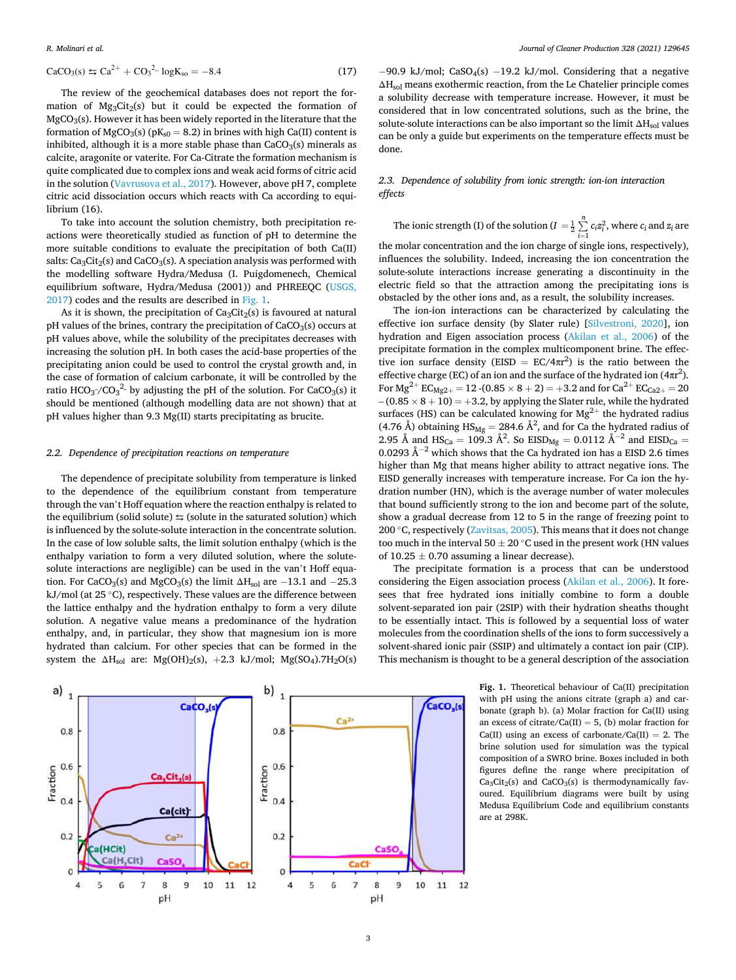$$
CaCO3(s) \leq Ca2+ + CO32 - logKso = -8.4
$$
 (17)

The review of the geochemical databases does not report the formation of  $Mg_3Cit_2(s)$  but it could be expected the formation of  $MgCO<sub>3</sub>(s)$ . However it has been widely reported in the literature that the formation of MgCO<sub>3</sub>(s) ( $pK_{s0} = 8.2$ ) in brines with high Ca(II) content is inhibited, although it is a more stable phase than  $CaCO<sub>3</sub>(s)$  minerals as calcite, aragonite or vaterite. For Ca-Citrate the formation mechanism is quite complicated due to complex ions and weak acid forms of citric acid in the solution ([Vavrusova et al., 2017](#page-9-0)). However, above pH 7, complete citric acid dissociation occurs which reacts with Ca according to equilibrium (16).

To take into account the solution chemistry, both precipitation reactions were theoretically studied as function of pH to determine the more suitable conditions to evaluate the precipitation of both Ca(II) salts:  $Ca<sub>3</sub>Cit<sub>2</sub>(s)$  and  $CaCO<sub>3</sub>(s)$ . A speciation analysis was performed with the modelling software Hydra/Medusa (I. Puigdomenech, Chemical equilibrium software, Hydra/Medusa (2001)) and PHREEQC ([USGS,](#page-9-0)  [2017\)](#page-9-0) codes and the results are described in Fig. 1.

As it is shown, the precipitation of  $\text{Ca}_3\text{Cit}_2(s)$  is favoured at natural pH values of the brines, contrary the precipitation of CaCO<sub>3</sub>(s) occurs at pH values above, while the solubility of the precipitates decreases with increasing the solution pH. In both cases the acid-base properties of the precipitating anion could be used to control the crystal growth and, in the case of formation of calcium carbonate, it will be controlled by the ratio HCO<sub>3</sub>-/CO<sub>3</sub><sup>2</sup>- by adjusting the pH of the solution. For CaCO<sub>3</sub>(s) it should be mentioned (although modelling data are not shown) that at pH values higher than 9.3 Mg(II) starts precipitating as brucite.

#### *2.2. Dependence of precipitation reactions on temperature*

The dependence of precipitate solubility from temperature is linked to the dependence of the equilibrium constant from temperature through the van't Hoff equation where the reaction enthalpy is related to the equilibrium (solid solute)  $\leq$  (solute in the saturated solution) which is influenced by the solute-solute interaction in the concentrate solution. In the case of low soluble salts, the limit solution enthalpy (which is the enthalpy variation to form a very diluted solution, where the solutesolute interactions are negligible) can be used in the van't Hoff equation. For CaCO<sub>3</sub>(s) and MgCO<sub>3</sub>(s) the limit  $\Delta H_{sol}$  are −13.1 and −25.3 kJ/mol (at  $25^{\circ}$ C), respectively. These values are the difference between the lattice enthalpy and the hydration enthalpy to form a very dilute solution. A negative value means a predominance of the hydration enthalpy, and, in particular, they show that magnesium ion is more hydrated than calcium. For other species that can be formed in the system the  $\Delta H_{sol}$  are: Mg(OH)<sub>2</sub>(s), +2.3 kJ/mol; Mg(SO<sub>4</sub>).7H<sub>2</sub>O(s)

 $-90.9$  kJ/mol; CaSO<sub>4</sub>(s)  $-19.2$  kJ/mol. Considering that a negative  $\Delta H_{sol}$  means exothermic reaction, from the Le Chatelier principle comes a solubility decrease with temperature increase. However, it must be considered that in low concentrated solutions, such as the brine, the solute-solute interactions can be also important so the limit  $\Delta H_{sol}$  values can be only a guide but experiments on the temperature effects must be done.

# *2.3. Dependence of solubility from ionic strength: ion-ion interaction effects*

The ionic strength (I) of the solution ( $I = \frac{1}{2}$ ∑*<sup>n</sup>*  $\sum_{i=1} c_i z_i^2$ , where  $c_i$  and  $z_i$  are the molar concentration and the ion charge of single ions, respectively), influences the solubility. Indeed, increasing the ion concentration the solute-solute interactions increase generating a discontinuity in the electric field so that the attraction among the precipitating ions is obstacled by the other ions and, as a result, the solubility increases.

The ion-ion interactions can be characterized by calculating the effective ion surface density (by Slater rule) [\[Silvestroni, 2020](#page-9-0)], ion hydration and Eigen association process ([Akilan et al., 2006](#page-9-0)) of the precipitate formation in the complex multicomponent brine. The effective ion surface density (EISD =  $EC/4\pi r^2$ ) is the ratio between the effective charge (EC) of an ion and the surface of the hydrated ion  $(4\pi r^2)$ . For  $Mg^{2+}$  EC<sub>Mg2+</sub> = 12 -(0.85  $\times$  8 + 2) = +3.2 and for Ca<sup>2+</sup> EC<sub>Ca2+</sub> = 20  $-(0.85 \times 8 + 10) = +3.2$ , by applying the Slater rule, while the hydrated surfaces (HS) can be calculated knowing for  $Mg^{2+}$  the hydrated radius (4.76 Å) obtaining  $\text{HS}_{\text{Mg}} = 284.6 \text{ Å}^2$ , and for Ca the hydrated radius of 2.95 Å and  $HS_{Ca} = 109.3 \text{ Å}^2$ . So  $EISD_{Mg} = 0.0112 \text{ Å}^{-2}$  and  $EISD_{Ca} =$ 0.0293 Å<sup>−2</sup> which shows that the Ca hydrated ion has a EISD 2.6 times higher than Mg that means higher ability to attract negative ions. The EISD generally increases with temperature increase. For Ca ion the hydration number (HN), which is the average number of water molecules that bound sufficiently strong to the ion and become part of the solute, show a gradual decrease from 12 to 5 in the range of freezing point to 200  $\degree$ C, respectively ([Zavitsas, 2005](#page-9-0)). This means that it does not change too much in the interval 50  $\pm$  20 °C used in the present work (HN values of  $10.25 \pm 0.70$  assuming a linear decrease).

The precipitate formation is a process that can be understood considering the Eigen association process [\(Akilan et al., 2006](#page-9-0)). It foresees that free hydrated ions initially combine to form a double solvent-separated ion pair (2SIP) with their hydration sheaths thought to be essentially intact. This is followed by a sequential loss of water molecules from the coordination shells of the ions to form successively a solvent-shared ionic pair (SSIP) and ultimately a contact ion pair (CIP). This mechanism is thought to be a general description of the association

> **Fig. 1.** Theoretical behaviour of Ca(II) precipitation with pH using the anions citrate (graph a) and carbonate (graph b). (a) Molar fraction for Ca(II) using an excess of citrate/Ca(II) = 5, (b) molar fraction for Ca(II) using an excess of carbonate/Ca(II) = 2. The brine solution used for simulation was the typical composition of a SWRO brine. Boxes included in both figures define the range where precipitation of  $Ca<sub>3</sub>Cit<sub>2</sub>(s)$  and  $CaCO<sub>3</sub>(s)$  is thermodynamically favoured. Equilibrium diagrams were built by using Medusa Equilibrium Code and equilibrium constants are at 298K.

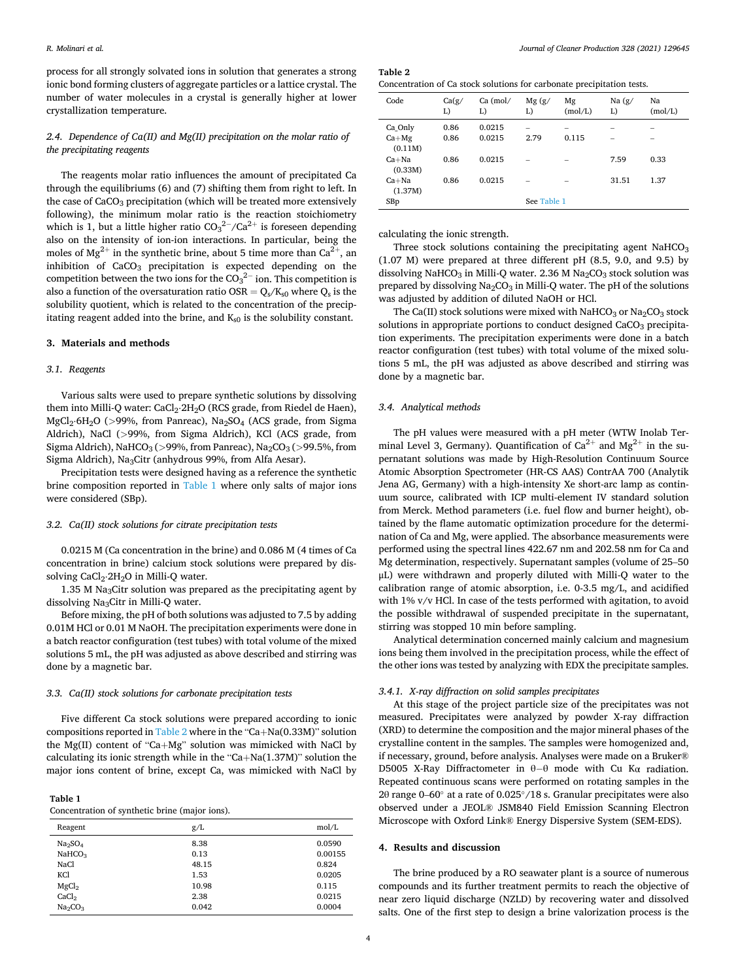<span id="page-3-0"></span>process for all strongly solvated ions in solution that generates a strong ionic bond forming clusters of aggregate particles or a lattice crystal. The number of water molecules in a crystal is generally higher at lower crystallization temperature.

# *2.4. Dependence of Ca(II) and Mg(II) precipitation on the molar ratio of the precipitating reagents*

The reagents molar ratio influences the amount of precipitated Ca through the equilibriums (6) and (7) shifting them from right to left. In the case of  $CaCO<sub>3</sub>$  precipitation (which will be treated more extensively following), the minimum molar ratio is the reaction stoichiometry which is 1, but a little higher ratio CO<sub>3</sub><sup>2−</sup>/Ca<sup>2+</sup> is foreseen depending also on the intensity of ion-ion interactions. In particular, being the moles of  $Mg^{2+}$  in the synthetic brine, about 5 time more than  $Ca^{2+}$ , an inhibition of  $CaCO<sub>3</sub>$  precipitation is expected depending on the competition between the two ions for the  $\mathrm{CO_3}^{2-}$  ion. This competition is also a function of the oversaturation ratio OSR =  $Q_s/K_{s0}$  where  $Q_s$  is the solubility quotient, which is related to the concentration of the precipitating reagent added into the brine, and  $K_{s0}$  is the solubility constant.

#### **3. Materials and methods**

#### *3.1. Reagents*

Various salts were used to prepare synthetic solutions by dissolving them into Milli-Q water: CaCl<sub>2</sub>⋅2H<sub>2</sub>O (RCS grade, from Riedel de Haen), MgCl<sub>2</sub>⋅6H<sub>2</sub>O (>99%, from Panreac), Na<sub>2</sub>SO<sub>4</sub> (ACS grade, from Sigma Aldrich), NaCl (*>*99%, from Sigma Aldrich), KCl (ACS grade, from Sigma Aldrich), NaHCO3 (*>*99%, from Panreac), Na2CO3 (*>*99.5%, from Sigma Aldrich), Na<sub>3</sub>Citr (anhydrous 99%, from Alfa Aesar).

Precipitation tests were designed having as a reference the synthetic brine composition reported in Table 1 where only salts of major ions were considered (SBp).

#### *3.2. Ca(II) stock solutions for citrate precipitation tests*

0.0215 M (Ca concentration in the brine) and 0.086 M (4 times of Ca concentration in brine) calcium stock solutions were prepared by dissolving CaCl<sub>2</sub>⋅2H<sub>2</sub>O in Milli-Q water.

1.35 M Na<sub>3</sub>Citr solution was prepared as the precipitating agent by dissolving Na3Citr in Milli-Q water.

Before mixing, the pH of both solutions was adjusted to 7.5 by adding 0.01M HCl or 0.01 M NaOH. The precipitation experiments were done in a batch reactor configuration (test tubes) with total volume of the mixed solutions 5 mL, the pH was adjusted as above described and stirring was done by a magnetic bar.

## *3.3. Ca(II) stock solutions for carbonate precipitation tests*

Five different Ca stock solutions were prepared according to ionic compositions reported in Table 2 where in the "Ca+Na(0.33M)" solution the Mg(II) content of "Ca+Mg" solution was mimicked with NaCl by calculating its ionic strength while in the " $Ca+Na(1.37M)$ " solution the major ions content of brine, except Ca, was mimicked with NaCl by

| anı<br>ı |  |
|----------|--|
|----------|--|

Concentration of synthetic brine (major ions).

| Reagent                         | g/L   | mol/L   |
|---------------------------------|-------|---------|
| Na <sub>2</sub> SO <sub>4</sub> | 8.38  | 0.0590  |
| NAHCO <sub>3</sub>              | 0.13  | 0.00155 |
| NaCl                            | 48.15 | 0.824   |
| KCl                             | 1.53  | 0.0205  |
| MgCl <sub>2</sub>               | 10.98 | 0.115   |
| CaCl <sub>2</sub>               | 2.38  | 0.0215  |
| Na <sub>2</sub> CO <sub>3</sub> | 0.042 | 0.0004  |
|                                 |       |         |

**Table 2** 

| Code               | Ca(g/<br>L) | $Ca \ (mol/$<br>L) | Mg(g/<br>L) | Mg<br>(mol/L)            | Na $(g/$<br>L) | Na<br>(mol/L) |
|--------------------|-------------|--------------------|-------------|--------------------------|----------------|---------------|
| Ca Only            | 0.86        | 0.0215             | -           | $\overline{\phantom{a}}$ |                | -             |
| $Ca+Mg$<br>(0.11M) | 0.86        | 0.0215             | 2.79        | 0.115                    |                |               |
| $Ca+Na$<br>(0.33M) | 0.86        | 0.0215             |             |                          | 7.59           | 0.33          |
| $Ca+Na$<br>(1.37M) | 0.86        | 0.0215             |             |                          | 31.51          | 1.37          |
| SBp                |             |                    | See Table 1 |                          |                |               |

calculating the ionic strength.

Three stock solutions containing the precipitating agent  $NAHCO<sub>3</sub>$ (1.07 M) were prepared at three different pH (8.5, 9.0, and 9.5) by dissolving NaHCO<sub>3</sub> in Milli-Q water. 2.36 M Na<sub>2</sub>CO<sub>3</sub> stock solution was prepared by dissolving  $Na<sub>2</sub>CO<sub>3</sub>$  in Milli-Q water. The pH of the solutions was adjusted by addition of diluted NaOH or HCl.

The Ca(II) stock solutions were mixed with NaHCO<sub>3</sub> or Na<sub>2</sub>CO<sub>3</sub> stock solutions in appropriate portions to conduct designed CaCO<sub>3</sub> precipitation experiments. The precipitation experiments were done in a batch reactor configuration (test tubes) with total volume of the mixed solutions 5 mL, the pH was adjusted as above described and stirring was done by a magnetic bar.

## *3.4. Analytical methods*

The pH values were measured with a pH meter (WTW Inolab Terminal Level 3, Germany). Quantification of  $Ca^{2+}$  and  $Mg^{2+}$  in the supernatant solutions was made by High-Resolution Continuum Source Atomic Absorption Spectrometer (HR-CS AAS) ContrAA 700 (Analytik Jena AG, Germany) with a high-intensity Xe short-arc lamp as continuum source, calibrated with ICP multi-element IV standard solution from Merck. Method parameters (i.e. fuel flow and burner height), obtained by the flame automatic optimization procedure for the determination of Ca and Mg, were applied. The absorbance measurements were performed using the spectral lines 422.67 nm and 202.58 nm for Ca and Mg determination, respectively. Supernatant samples (volume of 25–50 μL) were withdrawn and properly diluted with Milli-Q water to the calibration range of atomic absorption, i.e. 0-3.5 mg/L, and acidified with 1% v/v HCl. In case of the tests performed with agitation, to avoid the possible withdrawal of suspended precipitate in the supernatant, stirring was stopped 10 min before sampling.

Analytical determination concerned mainly calcium and magnesium ions being them involved in the precipitation process, while the effect of the other ions was tested by analyzing with EDX the precipitate samples.

#### *3.4.1. X-ray diffraction on solid samples precipitates*

At this stage of the project particle size of the precipitates was not measured. Precipitates were analyzed by powder X-ray diffraction (XRD) to determine the composition and the major mineral phases of the crystalline content in the samples. The samples were homogenized and, if necessary, ground, before analysis. Analyses were made on a Bruker® D5005 X-Ray Diffractometer in θ−θ mode with Cu Kα radiation. Repeated continuous scans were performed on rotating samples in the 2θ range 0–60◦ at a rate of 0.025◦/18 s. Granular precipitates were also observed under a JEOL® JSM840 Field Emission Scanning Electron Microscope with Oxford Link® Energy Dispersive System (SEM-EDS).

# **4. Results and discussion**

The brine produced by a RO seawater plant is a source of numerous compounds and its further treatment permits to reach the objective of near zero liquid discharge (NZLD) by recovering water and dissolved salts. One of the first step to design a brine valorization process is the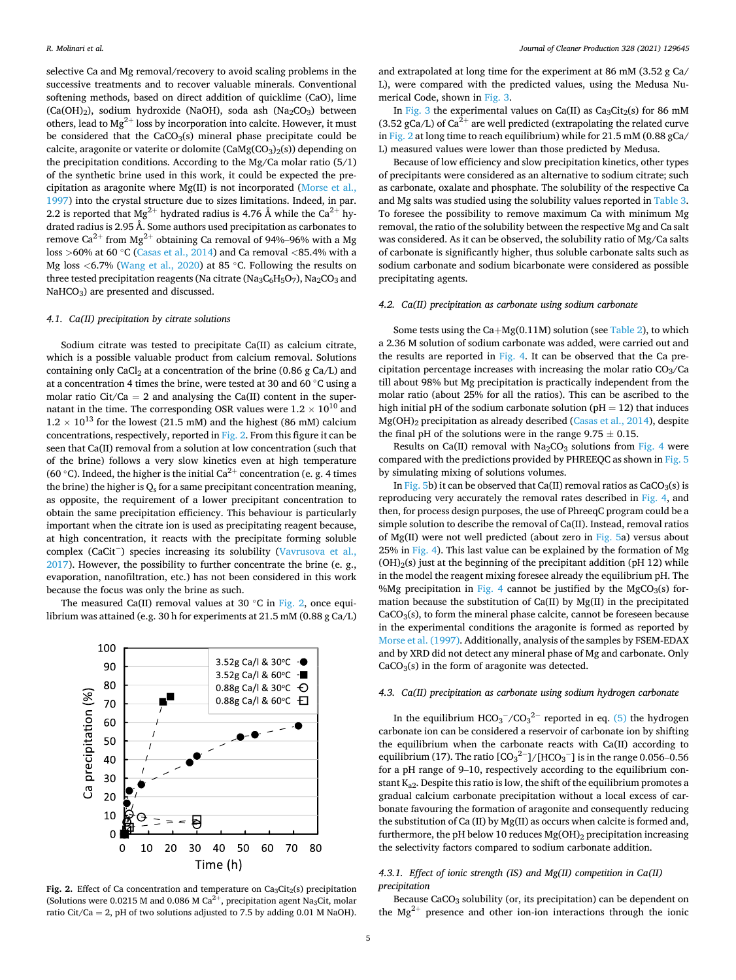<span id="page-4-0"></span>selective Ca and Mg removal/recovery to avoid scaling problems in the successive treatments and to recover valuable minerals. Conventional softening methods, based on direct addition of quicklime (CaO), lime (Ca(OH)<sub>2</sub>), sodium hydroxide (NaOH), soda ash (Na<sub>2</sub>CO<sub>3</sub>) between others, lead to  $Mg^{2+}$  loss by incorporation into calcite. However, it must be considered that the  $CaCO<sub>3</sub>(s)$  mineral phase precipitate could be calcite, aragonite or vaterite or dolomite  $(CaMg(CO<sub>3</sub>)<sub>2</sub>(s))$  depending on the precipitation conditions. According to the Mg/Ca molar ratio (5/1) of the synthetic brine used in this work, it could be expected the precipitation as aragonite where Mg(II) is not incorporated ([Morse et al.,](#page-9-0)  [1997\)](#page-9-0) into the crystal structure due to sizes limitations. Indeed, in par. 2.2 is reported that  $Mg^{2+}$  hydrated radius is 4.76 Å while the Ca<sup>2+</sup> hydrated radius is 2.95 Å. Some authors used precipitation as carbonates to remove  $Ca^{2+}$  from  $Mg^{2+}$  obtaining Ca removal of 94%–96% with a Mg loss *>*60% at 60 ◦C ([Casas et al., 2014\)](#page-9-0) and Ca removal *<*85.4% with a Mg loss *<*6.7% [\(Wang et al., 2020\)](#page-9-0) at 85 ◦C. Following the results on three tested precipitation reagents (Na citrate (Na<sub>3</sub>C<sub>6</sub>H<sub>5</sub>O<sub>7</sub>), Na<sub>2</sub>CO<sub>3</sub> and NaHCO<sub>3</sub>) are presented and discussed.

#### *4.1. Ca(II) precipitation by citrate solutions*

Sodium citrate was tested to precipitate Ca(II) as calcium citrate, which is a possible valuable product from calcium removal. Solutions containing only  $CaCl<sub>2</sub>$  at a concentration of the brine (0.86 g  $Ca/L$ ) and at a concentration 4 times the brine, were tested at 30 and 60  $^{\circ}{\rm C}$  using a molar ratio Cit/Ca = 2 and analysing the Ca(II) content in the supernatant in the time. The corresponding OSR values were  $1.2 \times 10^{10}$  and  $1.2 \times 10^{13}$  for the lowest (21.5 mM) and the highest (86 mM) calcium concentrations, respectively, reported in Fig. 2. From this figure it can be seen that Ca(II) removal from a solution at low concentration (such that of the brine) follows a very slow kinetics even at high temperature (60 °C). Indeed, the higher is the initial Ca<sup>2+</sup> concentration (e. g. 4 times the brine) the higher is  $Q_s$  for a same precipitant concentration meaning, as opposite, the requirement of a lower precipitant concentration to obtain the same precipitation efficiency. This behaviour is particularly important when the citrate ion is used as precipitating reagent because, at high concentration, it reacts with the precipitate forming soluble complex (CaCit<sup>-</sup>) species increasing its solubility (Vavrusova et al., [2017\)](#page-9-0). However, the possibility to further concentrate the brine (e. g., evaporation, nanofiltration, etc.) has not been considered in this work because the focus was only the brine as such.

The measured Ca(II) removal values at 30  $\degree$ C in Fig. 2, once equilibrium was attained (e.g. 30 h for experiments at 21.5 mM (0.88 g Ca/L)



**Fig. 2.** Effect of Ca concentration and temperature on  $Ca<sub>3</sub>Cit<sub>2</sub>(s)$  precipitation (Solutions were 0.0215 M and 0.086 M Ca<sup>2+</sup>, precipitation agent Na<sub>3</sub>Cit, molar ratio Cit/Ca = 2, pH of two solutions adjusted to 7.5 by adding 0.01 M NaOH).

and extrapolated at long time for the experiment at 86 mM (3.52 g Ca/ L), were compared with the predicted values, using the Medusa Numerical Code, shown in [Fig. 3](#page-5-0).

In [Fig. 3](#page-5-0) the experimental values on Ca(II) as  $Ca<sub>3</sub>Cit<sub>2</sub>(s)$  for 86 mM (3.52 gCa/L) of Ca<sup>2+</sup> are well predicted (extrapolating the related curve in Fig. 2 at long time to reach equilibrium) while for 21.5 mM (0.88 gCa/ L) measured values were lower than those predicted by Medusa.

Because of low efficiency and slow precipitation kinetics, other types of precipitants were considered as an alternative to sodium citrate; such as carbonate, oxalate and phosphate. The solubility of the respective Ca and Mg salts was studied using the solubility values reported in [Table 3](#page-5-0). To foresee the possibility to remove maximum Ca with minimum Mg removal, the ratio of the solubility between the respective Mg and Ca salt was considered. As it can be observed, the solubility ratio of Mg/Ca salts of carbonate is significantly higher, thus soluble carbonate salts such as sodium carbonate and sodium bicarbonate were considered as possible precipitating agents.

### *4.2. Ca(II) precipitation as carbonate using sodium carbonate*

Some tests using the  $Ca+Mg(0.11M)$  solution (see [Table 2](#page-3-0)), to which a 2.36 M solution of sodium carbonate was added, were carried out and the results are reported in [Fig. 4.](#page-5-0) It can be observed that the Ca precipitation percentage increases with increasing the molar ratio  $CO<sub>3</sub>/Ca$ till about 98% but Mg precipitation is practically independent from the molar ratio (about 25% for all the ratios). This can be ascribed to the high initial pH of the sodium carbonate solution ( $pH = 12$ ) that induces Mg(OH)<sub>2</sub> precipitation as already described [\(Casas et al., 2014](#page-9-0)), despite the final pH of the solutions were in the range  $9.75 \pm 0.15$ .

Results on Ca(II) removal with  $Na<sub>2</sub>CO<sub>3</sub>$  solutions from [Fig. 4](#page-5-0) were compared with the predictions provided by PHREEQC as shown in [Fig. 5](#page-6-0)  by simulating mixing of solutions volumes.

In [Fig. 5b](#page-6-0)) it can be observed that Ca(II) removal ratios as  $CaCO<sub>3</sub>(s)$  is reproducing very accurately the removal rates described in [Fig. 4,](#page-5-0) and then, for process design purposes, the use of PhreeqC program could be a simple solution to describe the removal of Ca(II). Instead, removal ratios of Mg(II) were not well predicted (about zero in [Fig. 5a](#page-6-0)) versus about 25% in [Fig. 4\)](#page-5-0). This last value can be explained by the formation of Mg  $(OH)<sub>2</sub>(s)$  just at the beginning of the precipitant addition (pH 12) while in the model the reagent mixing foresee already the equilibrium pH. The %Mg precipitation in [Fig. 4](#page-5-0) cannot be justified by the MgCO<sub>3</sub>(s) formation because the substitution of Ca(II) by Mg(II) in the precipitated  $CaCO<sub>3</sub>(s)$ , to form the mineral phase calcite, cannot be foreseen because in the experimental conditions the aragonite is formed as reported by [Morse et al. \(1997\)](#page-9-0). Additionally, analysis of the samples by FSEM-EDAX and by XRD did not detect any mineral phase of Mg and carbonate. Only  $CaCO<sub>3</sub>(s)$  in the form of aragonite was detected.

## *4.3. Ca(II) precipitation as carbonate using sodium hydrogen carbonate*

In the equilibrium  $HCO_3^-/CO_3^{2-}$  reported in eq. [\(5\)](#page-1-0) the hydrogen carbonate ion can be considered a reservoir of carbonate ion by shifting the equilibrium when the carbonate reacts with Ca(II) according to equilibrium (17). The ratio  $\text{[CO}_{3}^{\text{2}-}\text{]} / \text{[HCO}_{3}^{-}\text{]}$  is in the range 0.056–0.56 for a pH range of 9–10, respectively according to the equilibrium constant Ka2. Despite this ratio is low, the shift of the equilibrium promotes a gradual calcium carbonate precipitation without a local excess of carbonate favouring the formation of aragonite and consequently reducing the substitution of Ca (II) by Mg(II) as occurs when calcite is formed and, furthermore, the pH below 10 reduces  $Mg(OH)_2$  precipitation increasing the selectivity factors compared to sodium carbonate addition.

# *4.3.1. Effect of ionic strength (IS) and Mg(II) competition in Ca(II) precipitation*

Because CaCO<sub>3</sub> solubility (or, its precipitation) can be dependent on the  $Mg^{2+}$  presence and other ion-ion interactions through the ionic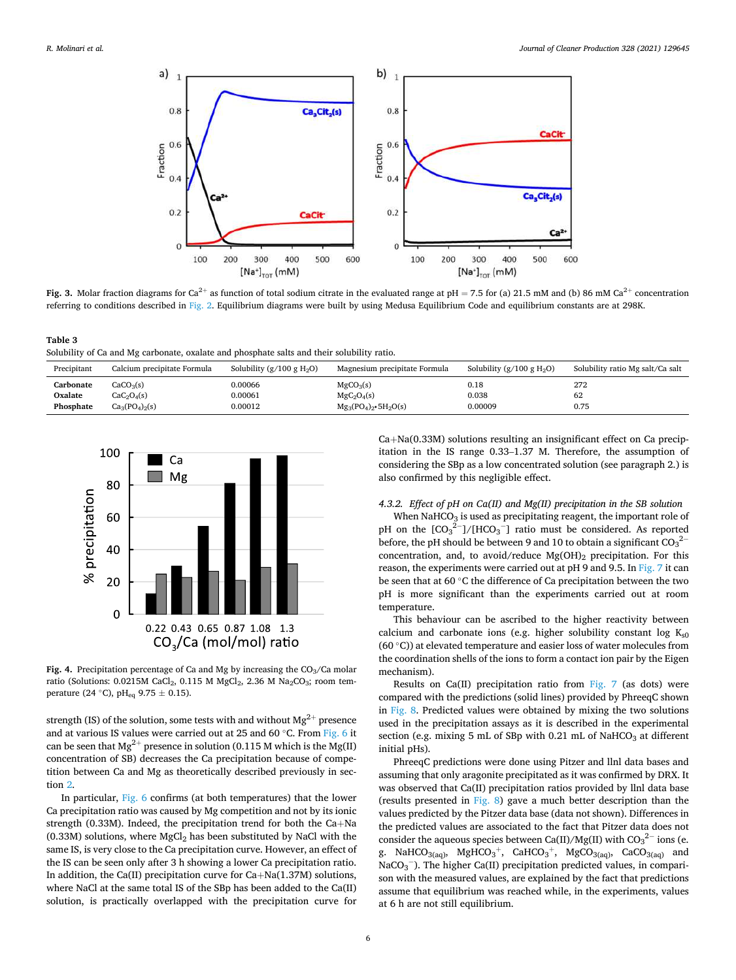<span id="page-5-0"></span>

**Fig. 3.** Molar fraction diagrams for Ca<sup>2+</sup> as function of total sodium citrate in the evaluated range at  $pH = 7.5$  for (a) 21.5 mM and (b) 86 mM Ca<sup>2+</sup> concentration referring to conditions described in [Fig. 2](#page-4-0). Equilibrium diagrams were built by using Medusa Equilibrium Code and equilibrium constants are at 298K.

**Table 3**  Solubility of Ca and Mg carbonate, oxalate and phosphate salts and their solubility ratio.

| 0.00066<br>272<br>CaCO <sub>3</sub> (s)<br>0.18<br>MgCO <sub>3</sub> (s)<br>Carbonate                                                                                                      | Solubility ratio Mg salt/Ca salt |
|--------------------------------------------------------------------------------------------------------------------------------------------------------------------------------------------|----------------------------------|
| 0.038<br>0.00061<br>62<br>CaC <sub>2</sub> O <sub>4</sub> (s)<br>$MgC_2O_4(s)$<br>Oxalate<br>0.00012<br>0.00009<br>0.75<br>Phosphate<br>$Ca_3(PO_4)_2(s)$<br>$Mg_3(PO_4)_2 \cdot 5H_2O(s)$ |                                  |



**Fig. 4.** Precipitation percentage of Ca and Mg by increasing the  $CO<sub>3</sub>/Ca$  molar ratio (Solutions: 0.0215M CaCl<sub>2</sub>, 0.115 M MgCl<sub>2</sub>, 2.36 M Na<sub>2</sub>CO<sub>3</sub>; room temperature (24 °C), pH<sub>eq</sub> 9.75  $\pm$  0.15).

strength (IS) of the solution, some tests with and without  $Mg^{2+}$  presence and at various IS values were carried out at 25 and 60 ◦C. From [Fig. 6](#page-6-0) it can be seen that  $Mg^{2+}$  presence in solution (0.115 M which is the Mg(II) concentration of SB) decreases the Ca precipitation because of competition between Ca and Mg as theoretically described previously in section [2](#page-1-0).

In particular, [Fig. 6](#page-6-0) confirms (at both temperatures) that the lower Ca precipitation ratio was caused by Mg competition and not by its ionic strength (0.33M). Indeed, the precipitation trend for both the Ca+Na (0.33M) solutions, where  $MgCl<sub>2</sub>$  has been substituted by NaCl with the same IS, is very close to the Ca precipitation curve. However, an effect of the IS can be seen only after 3 h showing a lower Ca precipitation ratio. In addition, the Ca(II) precipitation curve for Ca+Na(1.37M) solutions, where NaCl at the same total IS of the SBp has been added to the Ca(II) solution, is practically overlapped with the precipitation curve for

Ca+Na(0.33M) solutions resulting an insignificant effect on Ca precipitation in the IS range 0.33–1.37 M. Therefore, the assumption of considering the SBp as a low concentrated solution (see paragraph 2.) is also confirmed by this negligible effect.

# *4.3.2. Effect of pH on Ca(II) and Mg(II) precipitation in the SB solution*

When NaHCO<sub>3</sub> is used as precipitating reagent, the important role of pH on the  $[CO_3^2^-]/[HCO_3^-]$  ratio must be considered. As reported before, the pH should be between 9 and 10 to obtain a significant  $CO_3^2$ concentration, and, to avoid/reduce  $Mg(OH)_2$  precipitation. For this reason, the experiments were carried out at pH 9 and 9.5. In [Fig. 7](#page-6-0) it can be seen that at 60 ◦C the difference of Ca precipitation between the two pH is more significant than the experiments carried out at room temperature.

This behaviour can be ascribed to the higher reactivity between calcium and carbonate ions (e.g. higher solubility constant log  $K_{s0}$ (60 $\degree$ C)) at elevated temperature and easier loss of water molecules from the coordination shells of the ions to form a contact ion pair by the Eigen mechanism).

Results on Ca(II) precipitation ratio from [Fig. 7](#page-6-0) (as dots) were compared with the predictions (solid lines) provided by PhreeqC shown in [Fig. 8.](#page-7-0) Predicted values were obtained by mixing the two solutions used in the precipitation assays as it is described in the experimental section (e.g. mixing 5 mL of SBp with 0.21 mL of NaHCO<sub>3</sub> at different initial pHs).

PhreeqC predictions were done using Pitzer and llnl data bases and assuming that only aragonite precipitated as it was confirmed by DRX. It was observed that Ca(II) precipitation ratios provided by llnl data base (results presented in [Fig. 8\)](#page-7-0) gave a much better description than the values predicted by the Pitzer data base (data not shown). Differences in the predicted values are associated to the fact that Pitzer data does not consider the aqueous species between Ca(II)/Mg(II) with  $\mathrm{CO_3}^{2-}$  ions (e. g. NaHCO<sub>3(aq)</sub>, MgHCO<sub>3</sub><sup>+</sup>, CaHCO<sub>3</sub><sup>+</sup>, MgCO<sub>3(aq)</sub>, CaCO<sub>3(aq)</sub> and NaCO<sub>3</sub><sup>-</sup>). The higher Ca(II) precipitation predicted values, in comparison with the measured values, are explained by the fact that predictions assume that equilibrium was reached while, in the experiments, values at 6 h are not still equilibrium.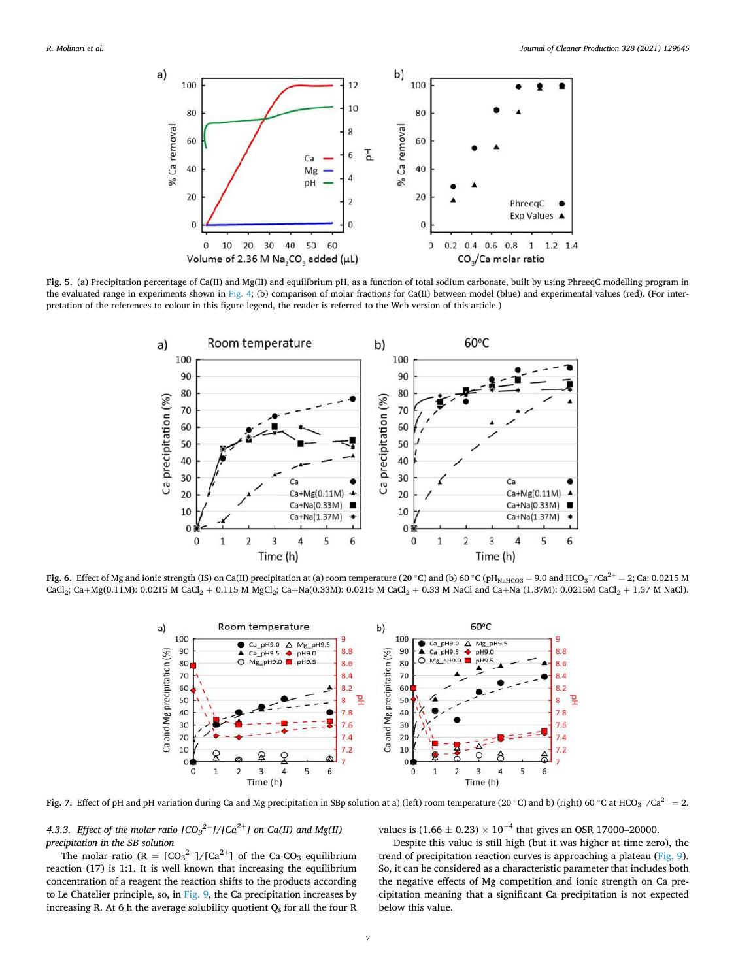<span id="page-6-0"></span>

**Fig. 5.** (a) Precipitation percentage of Ca(II) and Mg(II) and equilibrium pH, as a function of total sodium carbonate, built by using PhreeqC modelling program in the evaluated range in experiments shown in [Fig. 4](#page-5-0); (b) comparison of molar fractions for Ca(II) between model (blue) and experimental values (red). (For interpretation of the references to colour in this figure legend, the reader is referred to the Web version of this article.)



**Fig. 6.** Effect of Mg and ionic strength (IS) on Ca(II) precipitation at (a) room temperature (20 °C) and (b) 60 °C (pH<sub>NaHCO3</sub> = 9.0 and HCO<sub>3</sub> $^-/$ Ca<sup>2+</sup> = 2; Ca: 0.0215 M  $CaCl<sub>2</sub>$ ;  $Ca+Mg(0.11M)$ : 0.0215 M  $CaCl<sub>2</sub> + 0.115$  M  $MgCl<sub>2</sub>$ ;  $Ca+Na(0.33M)$ : 0.0215 M  $CaCl<sub>2</sub> + 0.33$  M NaCl and  $Ca+Na(1.37M)$ : 0.0215M  $CaCl<sub>2</sub> + 1.37$  M NaCl).



**Fig. 7.** Effect of pH and pH variation during Ca and Mg precipitation in SBp solution at a) (left) room temperature (20 °C) and b) (right) 60 °C at HCO<sub>3</sub><sup>−</sup>/Ca<sup>2+</sup> = 2.

4.3.3. *Effect of the molar ratio [CO3* $^{2-}$ *]/[Ca* $^{2+}$ *] on Ca(II) and Mg(II) precipitation in the SB solution* 

The molar ratio  $(R = [CO<sub>3</sub><sup>2–</sup>]/[Ca<sup>2+</sup>]$  of the Ca-CO<sub>3</sub> equilibrium reaction (17) is 1:1. It is well known that increasing the equilibrium concentration of a reagent the reaction shifts to the products according to Le Chatelier principle, so, in [Fig. 9,](#page-7-0) the Ca precipitation increases by increasing R. At 6 h the average solubility quotient  $Q_s$  for all the four R

values is  $(1.66 \pm 0.23) \times 10^{-4}$  that gives an OSR 17000–20000.

Despite this value is still high (but it was higher at time zero), the trend of precipitation reaction curves is approaching a plateau [\(Fig. 9](#page-7-0)). So, it can be considered as a characteristic parameter that includes both the negative effects of Mg competition and ionic strength on Ca precipitation meaning that a significant Ca precipitation is not expected below this value.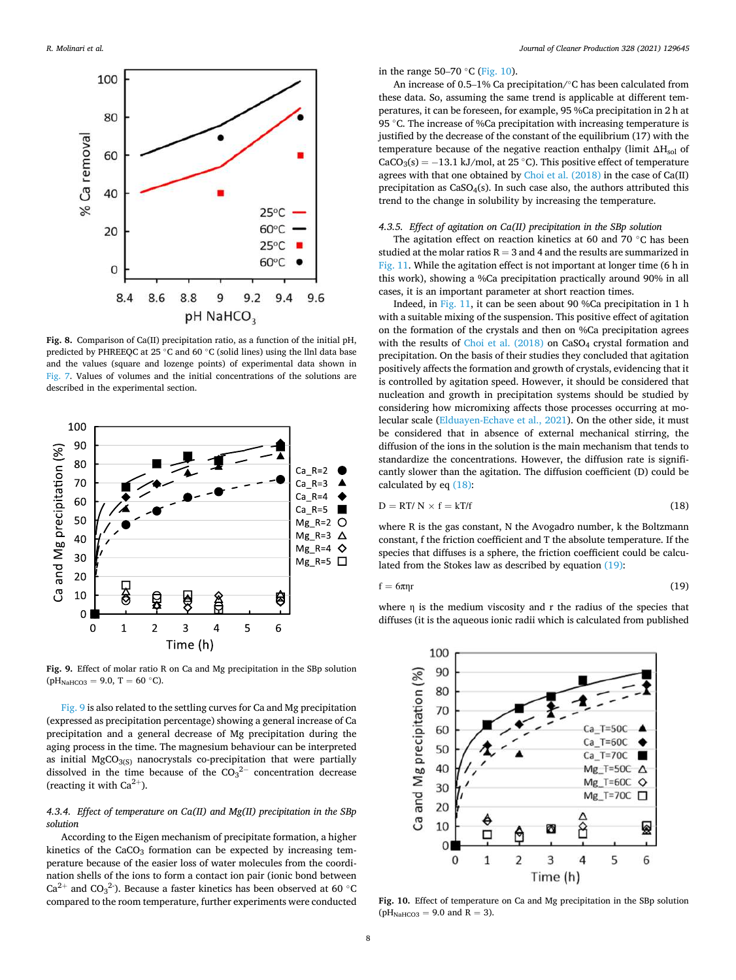<span id="page-7-0"></span>

**Fig. 8.** Comparison of Ca(II) precipitation ratio, as a function of the initial pH, predicted by PHREEQC at 25 ◦C and 60 ◦C (solid lines) using the llnl data base and the values (square and lozenge points) of experimental data shown in [Fig. 7.](#page-6-0) Values of volumes and the initial concentrations of the solutions are described in the experimental section.



**Fig. 9.** Effect of molar ratio R on Ca and Mg precipitation in the SBp solution  $(pH_{NAHCO3} = 9.0, T = 60 °C).$ 

Fig. 9 is also related to the settling curves for Ca and Mg precipitation (expressed as precipitation percentage) showing a general increase of Ca precipitation and a general decrease of Mg precipitation during the aging process in the time. The magnesium behaviour can be interpreted as initial  $MgCO<sub>3(S)</sub>$  nanocrystals co-precipitation that were partially dissolved in the time because of the  $CO<sub>3</sub><sup>2−</sup>$  concentration decrease (reacting it with  $Ca^{2+}$ ).

# *4.3.4. Effect of temperature on Ca(II) and Mg(II) precipitation in the SBp solution*

According to the Eigen mechanism of precipitate formation, a higher kinetics of the  $CaCO<sub>3</sub>$  formation can be expected by increasing temperature because of the easier loss of water molecules from the coordination shells of the ions to form a contact ion pair (ionic bond between Ca<sup>2+</sup> and CO<sub>3</sub><sup>2</sup>). Because a faster kinetics has been observed at 60  $^{\circ}$ C compared to the room temperature, further experiments were conducted

in the range 50–70  $°C$  (Fig. 10).

An increase of 0.5–1% Ca precipitation/◦C has been calculated from these data. So, assuming the same trend is applicable at different temperatures, it can be foreseen, for example, 95 %Ca precipitation in 2 h at 95 ℃. The increase of %Ca precipitation with increasing temperature is justified by the decrease of the constant of the equilibrium (17) with the temperature because of the negative reaction enthalpy (limit  $\Delta H_{sol}$  of  $CaCO<sub>3</sub>(s) = -13.1 \text{ kJ/mol}$ , at 25 °C). This positive effect of temperature agrees with that one obtained by [Choi et al. \(2018\)](#page-9-0) in the case of Ca(II) precipitation as  $CaSO<sub>4</sub>(s)$ . In such case also, the authors attributed this trend to the change in solubility by increasing the temperature.

# *4.3.5. Effect of agitation on Ca(II) precipitation in the SBp solution*

The agitation effect on reaction kinetics at 60 and 70 ◦C has been studied at the molar ratios  $R = 3$  and 4 and the results are summarized in [Fig. 11.](#page-8-0) While the agitation effect is not important at longer time (6 h in this work), showing a %Ca precipitation practically around 90% in all cases, it is an important parameter at short reaction times.

Indeed, in [Fig. 11](#page-8-0), it can be seen about 90 %Ca precipitation in 1 h with a suitable mixing of the suspension. This positive effect of agitation on the formation of the crystals and then on %Ca precipitation agrees with the results of Choi et al.  $(2018)$  on CaSO<sub>4</sub> crystal formation and precipitation. On the basis of their studies they concluded that agitation positively affects the formation and growth of crystals, evidencing that it is controlled by agitation speed. However, it should be considered that nucleation and growth in precipitation systems should be studied by considering how micromixing affects those processes occurring at molecular scale ([Elduayen-Echave et al., 2021](#page-9-0)). On the other side, it must be considered that in absence of external mechanical stirring, the diffusion of the ions in the solution is the main mechanism that tends to standardize the concentrations. However, the diffusion rate is significantly slower than the agitation. The diffusion coefficient (D) could be calculated by eq (18):

$$
D = RT/N \times f = kT/f \tag{18}
$$

where R is the gas constant, N the Avogadro number, k the Boltzmann constant, f the friction coefficient and T the absolute temperature. If the species that diffuses is a sphere, the friction coefficient could be calculated from the Stokes law as described by equation (19):

$$
f = 6\pi\eta r \tag{19}
$$

where η is the medium viscosity and r the radius of the species that diffuses (it is the aqueous ionic radii which is calculated from published



**Fig. 10.** Effect of temperature on Ca and Mg precipitation in the SBp solution  $(pH_{NaHCO3} = 9.0$  and R = 3).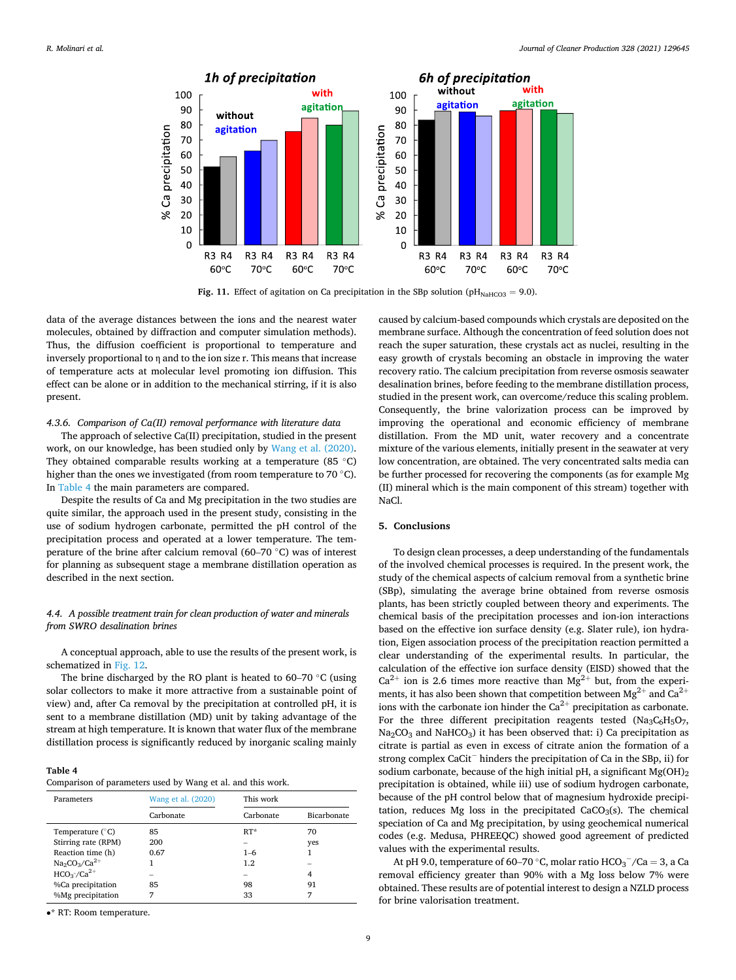<span id="page-8-0"></span>

Fig. 11. Effect of agitation on Ca precipitation in the SBp solution ( $pH_{\text{NaHCO3}} = 9.0$ ).

data of the average distances between the ions and the nearest water molecules, obtained by diffraction and computer simulation methods). Thus, the diffusion coefficient is proportional to temperature and inversely proportional to η and to the ion size r. This means that increase of temperature acts at molecular level promoting ion diffusion. This effect can be alone or in addition to the mechanical stirring, if it is also present.

### *4.3.6. Comparison of Ca(II) removal performance with literature data*

The approach of selective Ca(II) precipitation, studied in the present work, on our knowledge, has been studied only by [Wang et al. \(2020\)](#page-9-0). They obtained comparable results working at a temperature (85  $\degree$ C) higher than the ones we investigated (from room temperature to 70 °C). In Table 4 the main parameters are compared.

Despite the results of Ca and Mg precipitation in the two studies are quite similar, the approach used in the present study, consisting in the use of sodium hydrogen carbonate, permitted the pH control of the precipitation process and operated at a lower temperature. The temperature of the brine after calcium removal (60–70 ◦C) was of interest for planning as subsequent stage a membrane distillation operation as described in the next section.

# *4.4. A possible treatment train for clean production of water and minerals from SWRO desalination brines*

A conceptual approach, able to use the results of the present work, is schematized in [Fig. 12](#page-9-0).

The brine discharged by the RO plant is heated to 60–70 ◦C (using solar collectors to make it more attractive from a sustainable point of view) and, after Ca removal by the precipitation at controlled pH, it is sent to a membrane distillation (MD) unit by taking advantage of the stream at high temperature. It is known that water flux of the membrane distillation process is significantly reduced by inorganic scaling mainly

# **Table 4**  Comparison of parameters used by Wang et al. and this work.

| Parameters                | Wang et al. (2020) | This work |             |
|---------------------------|--------------------|-----------|-------------|
|                           | Carbonate          | Carbonate | Bicarbonate |
| Temperature $(^{\circ}C)$ | 85                 | $RT^*$    | 70          |
| Stirring rate (RPM)       | 200                |           | yes         |
| Reaction time (h)         | 0.67               | $1 - 6$   |             |
| $Na_2CO_3/Ca^{2+}$        |                    | 1.2       |             |
| $HCO3/Ca2+$               |                    |           | 4           |
| %Ca precipitation         | 85                 | 98        | 91          |
| %Mg precipitation         | 7                  | 33        | 7           |

• **RT: Room temperature.** 

caused by calcium-based compounds which crystals are deposited on the membrane surface. Although the concentration of feed solution does not reach the super saturation, these crystals act as nuclei, resulting in the easy growth of crystals becoming an obstacle in improving the water recovery ratio. The calcium precipitation from reverse osmosis seawater desalination brines, before feeding to the membrane distillation process, studied in the present work, can overcome/reduce this scaling problem. Consequently, the brine valorization process can be improved by improving the operational and economic efficiency of membrane distillation. From the MD unit, water recovery and a concentrate mixture of the various elements, initially present in the seawater at very low concentration, are obtained. The very concentrated salts media can be further processed for recovering the components (as for example Mg (II) mineral which is the main component of this stream) together with NaCl.

## **5. Conclusions**

To design clean processes, a deep understanding of the fundamentals of the involved chemical processes is required. In the present work, the study of the chemical aspects of calcium removal from a synthetic brine (SBp), simulating the average brine obtained from reverse osmosis plants, has been strictly coupled between theory and experiments. The chemical basis of the precipitation processes and ion-ion interactions based on the effective ion surface density (e.g. Slater rule), ion hydration, Eigen association process of the precipitation reaction permitted a clear understanding of the experimental results. In particular, the calculation of the effective ion surface density (EISD) showed that the  $Ca^{2+}$  ion is 2.6 times more reactive than  $Mg^{2+}$  but, from the experiments, it has also been shown that competition between  $Mg^{2+}$  and  $Ca^{2+}$ ions with the carbonate ion hinder the  $Ca^{2+}$  precipitation as carbonate. For the three different precipitation reagents tested (Na<sub>3</sub>C<sub>6</sub>H<sub>5</sub>O<sub>7</sub>,  $Na<sub>2</sub>CO<sub>3</sub>$  and NaHCO<sub>3</sub>) it has been observed that: i) Ca precipitation as citrate is partial as even in excess of citrate anion the formation of a strong complex CaCit<sup>−</sup> hinders the precipitation of Ca in the SBp, ii) for sodium carbonate, because of the high initial pH, a significant  $Mg(OH)_2$ precipitation is obtained, while iii) use of sodium hydrogen carbonate, because of the pH control below that of magnesium hydroxide precipitation, reduces Mg loss in the precipitated  $CaCO<sub>3</sub>(s)$ . The chemical speciation of Ca and Mg precipitation, by using geochemical numerical codes (e.g. Medusa, PHREEQC) showed good agreement of predicted values with the experimental results.

At pH 9.0, temperature of 60–70 °C, molar ratio  $\mathrm{HCO_3}^-/\mathrm{Ca}=3,$  a Ca removal efficiency greater than 90% with a Mg loss below 7% were obtained. These results are of potential interest to design a NZLD process for brine valorisation treatment.